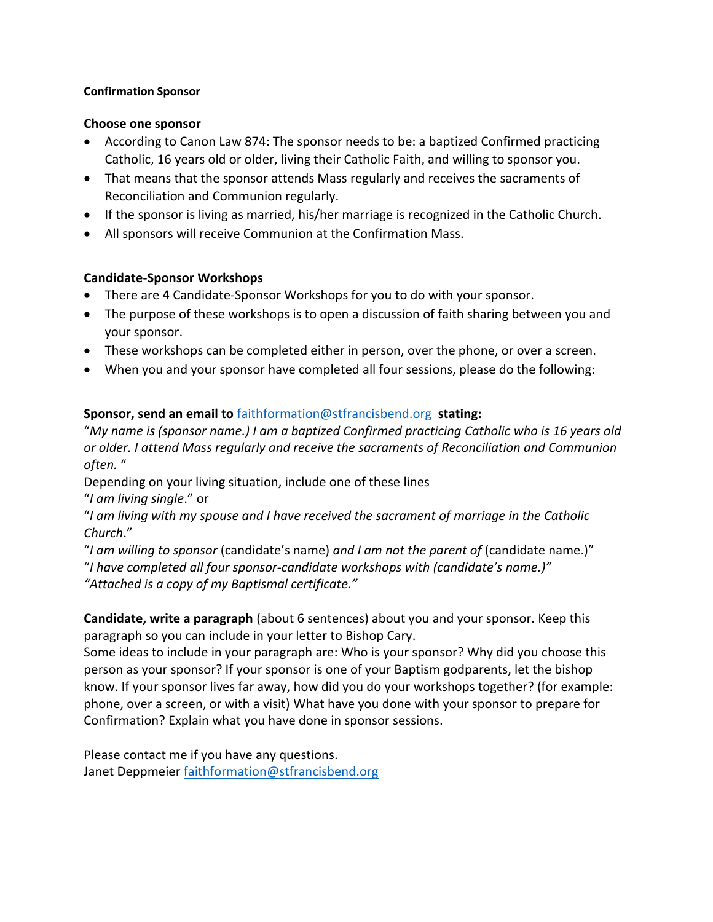#### **Confirmation Sponsor**

#### **Choose one sponsor**

- According to Canon Law 874: The sponsor needs to be: a baptized Confirmed practicing Catholic, 16 years old or older, living their Catholic Faith, and willing to sponsor you.
- That means that the sponsor attends Mass regularly and receives the sacraments of Reconciliation and Communion regularly.
- If the sponsor is living as married, his/her marriage is recognized in the Catholic Church.
- All sponsors will receive Communion at the Confirmation Mass.

## **Candidate-Sponsor Workshops**

- There are 4 Candidate-Sponsor Workshops for you to do with your sponsor.
- The purpose of these workshops is to open a discussion of faith sharing between you and your sponsor.
- These workshops can be completed either in person, over the phone, or over a screen.
- When you and your sponsor have completed all four sessions, please do the following:

# **Sponsor, send an email to** [faithformation@stfrancisbend.org](mailto:faithformation@stfrancisbend.org) **stating:**

"*My name is (sponsor name.) I am a baptized Confirmed practicing Catholic who is 16 years old or older. I attend Mass regularly and receive the sacraments of Reconciliation and Communion often.* "

Depending on your living situation, include one of these lines

"*I am living single*." or

"*I am living with my spouse and I have received the sacrament of marriage in the Catholic Church*."

"*I am willing to sponsor* (candidate's name) *and I am not the parent of* (candidate name.)" "*I have completed all four sponsor-candidate workshops with (candidate's name.)" "Attached is a copy of my Baptismal certificate."*

**Candidate, write a paragraph** (about 6 sentences) about you and your sponsor. Keep this paragraph so you can include in your letter to Bishop Cary.

Some ideas to include in your paragraph are: Who is your sponsor? Why did you choose this person as your sponsor? If your sponsor is one of your Baptism godparents, let the bishop know. If your sponsor lives far away, how did you do your workshops together? (for example: phone, over a screen, or with a visit) What have you done with your sponsor to prepare for Confirmation? Explain what you have done in sponsor sessions.

Please contact me if you have any questions. Janet Deppmeier [faithformation@stfrancisbend.org](mailto:faithformation@stfrancisbend.org)